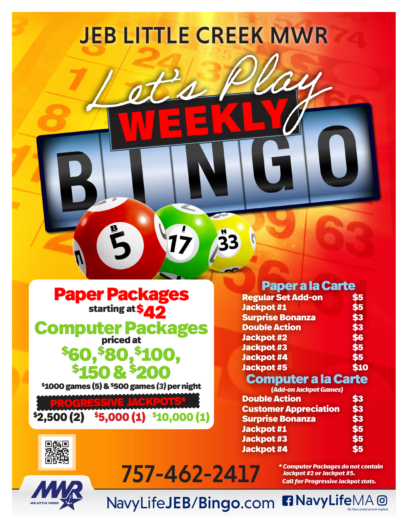

Paper Packages starting at \$**42** 

 $\overline{a}$ Computer Packages<br>
\$60.\$80,\$100, 50,<sup>\$</sup>80,<sup>\$</sup>100,<br>\$150 & \$200

\$1000 games (5) & \$500 games *(3)* per night

PROGRESSIVE J  $$2,500 (2) \quad $5,000 (1) \quad $10,000 (1) \quad $$ 

回顾回

## Paper a la Carte

| \$5  |
|------|
| \$5  |
| \$3  |
| \$3  |
| \$6  |
| \$5  |
| \$5  |
| \$10 |
|      |

## Computer a la Carte

| (Add-on Jackpot Games)       |     |  |
|------------------------------|-----|--|
| <b>Double Action</b>         | \$3 |  |
| <b>Customer Appreciation</b> | \$3 |  |
| <b>Surprise Bonanza</b>      | \$3 |  |
| <b>Jackpot #1</b>            | \$5 |  |
| <b>Jackpot #3</b>            | \$5 |  |
| <b>Jackpot #4</b>            | \$5 |  |

*\* Computer Packages do not contain Jackpot #2 or Jackpot #5. Call for Progressive Jackpot stats.*

**n** NavyLifeMA<sup>O</sup>

NavyLifeJEB/Bingo.com

757-462-2417